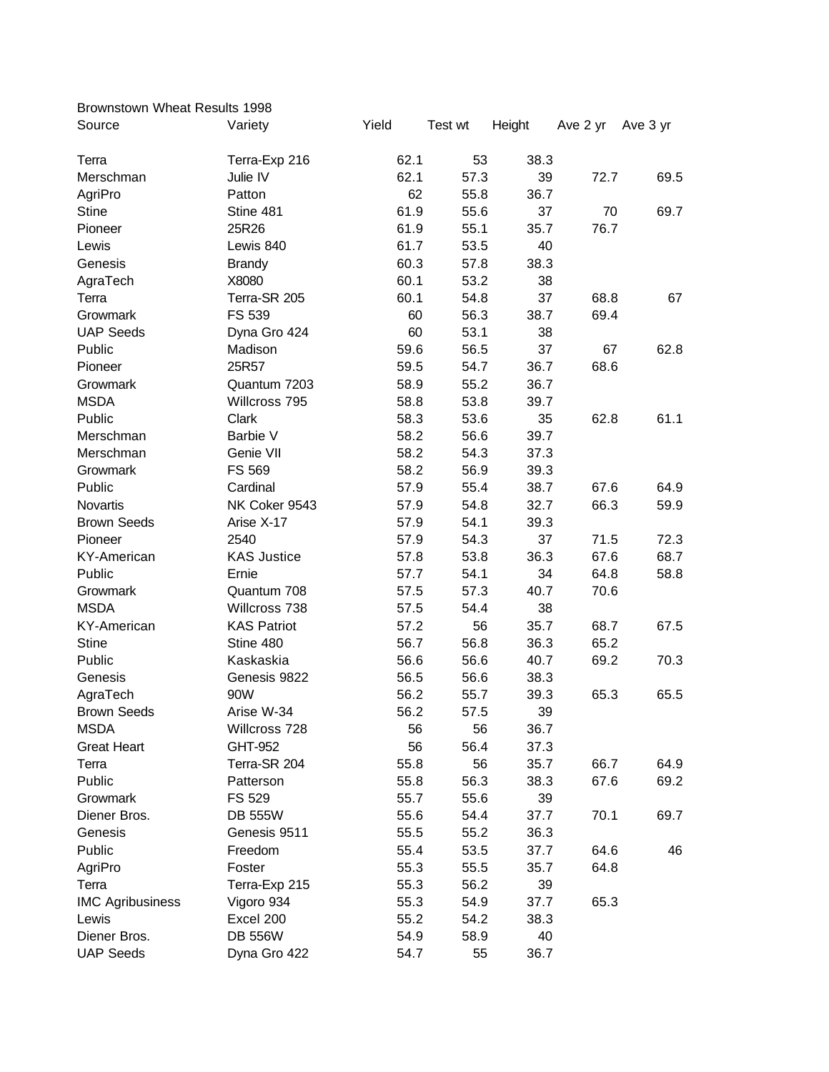| Yield<br>Source<br>Test wt<br>Height<br>Ave 2 yr<br>Variety<br>Ave 3 yr<br>62.1<br>53<br>38.3<br>Terra-Exp 216<br>Terra<br>62.1<br>Julie IV<br>57.3<br>39<br>72.7<br>69.5<br>Merschman<br>62<br>AgriPro<br>55.8<br>36.7<br>Patton<br><b>Stine</b><br>Stine 481<br>61.9<br>55.6<br>37<br>70<br>69.7<br>61.9<br>55.1<br>Pioneer<br>25R26<br>35.7<br>76.7<br>61.7<br>53.5<br>Lewis<br>40<br>Lewis 840<br>60.3<br>57.8<br>38.3<br>Genesis<br><b>Brandy</b><br>60.1<br>53.2<br>AgraTech<br>X8080<br>38<br>60.1<br>37<br>68.8<br>Terra-SR 205<br>54.8<br>67<br>Terra<br>56.3<br>69.4<br>FS 539<br>60<br>38.7<br>Growmark<br>53.1<br><b>UAP Seeds</b><br>60<br>38<br>Dyna Gro 424<br>56.5<br>37<br>Public<br>Madison<br>59.6<br>67<br>62.8<br>25R57<br>Pioneer<br>59.5<br>54.7<br>36.7<br>68.6<br>58.9<br>55.2<br>36.7<br>Growmark<br>Quantum 7203<br><b>MSDA</b><br>58.8<br>53.8<br>39.7<br>Willcross 795<br>Public<br>53.6<br>Clark<br>58.3<br>35<br>62.8<br>61.1<br>Barbie V<br>58.2<br>56.6<br>39.7<br>Merschman<br>58.2<br>Merschman<br>Genie VII<br>54.3<br>37.3<br>58.2<br>56.9<br>Growmark<br>FS 569<br>39.3<br>67.6<br>Public<br>Cardinal<br>57.9<br>55.4<br>38.7<br>64.9<br>32.7<br>66.3<br>Novartis<br>NK Coker 9543<br>57.9<br>54.8<br>59.9<br><b>Brown Seeds</b><br>Arise X-17<br>57.9<br>54.1<br>39.3<br>37<br>Pioneer<br>2540<br>57.9<br>54.3<br>71.5<br>72.3<br>53.8<br>36.3<br>67.6<br>68.7<br><b>KAS Justice</b><br>57.8<br>KY-American<br>Public<br>54.1<br>34<br>64.8<br>58.8<br>Ernie<br>57.7<br>57.5<br>57.3<br>40.7<br>70.6<br>Growmark<br>Quantum 708<br><b>MSDA</b><br>38<br>Willcross 738<br>57.5<br>54.4<br><b>KY-American</b><br><b>KAS Patriot</b><br>57.2<br>56<br>35.7<br>68.7<br>67.5<br>65.2<br><b>Stine</b><br>Stine 480<br>56.7<br>56.8<br>36.3<br>Public<br>Kaskaskia<br>56.6<br>56.6<br>40.7<br>69.2<br>70.3<br>Genesis<br>56.5<br>56.6<br>38.3<br>Genesis 9822<br>AgraTech<br>90W<br>56.2<br>55.7<br>39.3<br>65.3<br>65.5<br><b>Brown Seeds</b><br>Arise W-34<br>56.2<br>39<br>57.5<br><b>MSDA</b><br>Willcross 728<br>56<br>56<br>36.7<br>GHT-952<br>56<br>56.4<br>37.3<br><b>Great Heart</b><br>Terra-SR 204<br>55.8<br>66.7<br>64.9<br>Terra<br>56<br>35.7<br>Public<br>55.8<br>56.3<br>38.3<br>67.6<br>69.2<br>Patterson<br>FS 529<br>55.7<br>55.6<br>Growmark<br>39<br>Diener Bros.<br>55.6<br>54.4<br>70.1<br>69.7<br><b>DB 555W</b><br>37.7<br>55.5<br>55.2<br>36.3<br>Genesis<br>Genesis 9511<br>Public<br>46<br>Freedom<br>55.4<br>53.5<br>37.7<br>64.6<br>Foster<br>55.3<br>35.7<br>64.8<br>AgriPro<br>55.5<br>Terra-Exp 215<br>55.3<br>56.2<br>39<br>Terra<br><b>IMC Agribusiness</b><br>55.3<br>65.3<br>Vigoro 934<br>54.9<br>37.7<br>Lewis<br>Excel 200<br>55.2<br>54.2<br>38.3<br><b>DB 556W</b><br>54.9<br>58.9<br>Diener Bros.<br>40<br>54.7<br>55<br>36.7 | Brownstown Wheat Results 1998 |              |  |  |  |
|-----------------------------------------------------------------------------------------------------------------------------------------------------------------------------------------------------------------------------------------------------------------------------------------------------------------------------------------------------------------------------------------------------------------------------------------------------------------------------------------------------------------------------------------------------------------------------------------------------------------------------------------------------------------------------------------------------------------------------------------------------------------------------------------------------------------------------------------------------------------------------------------------------------------------------------------------------------------------------------------------------------------------------------------------------------------------------------------------------------------------------------------------------------------------------------------------------------------------------------------------------------------------------------------------------------------------------------------------------------------------------------------------------------------------------------------------------------------------------------------------------------------------------------------------------------------------------------------------------------------------------------------------------------------------------------------------------------------------------------------------------------------------------------------------------------------------------------------------------------------------------------------------------------------------------------------------------------------------------------------------------------------------------------------------------------------------------------------------------------------------------------------------------------------------------------------------------------------------------------------------------------------------------------------------------------------------------------------------------------------------------------------------------------------------------------------------------------------------------------------------------------------------------------------------------------------------------------------------------------------------------------------------------------------------------------------------------------------------------------------------------------------------------------------------------------|-------------------------------|--------------|--|--|--|
|                                                                                                                                                                                                                                                                                                                                                                                                                                                                                                                                                                                                                                                                                                                                                                                                                                                                                                                                                                                                                                                                                                                                                                                                                                                                                                                                                                                                                                                                                                                                                                                                                                                                                                                                                                                                                                                                                                                                                                                                                                                                                                                                                                                                                                                                                                                                                                                                                                                                                                                                                                                                                                                                                                                                                                                                           |                               |              |  |  |  |
|                                                                                                                                                                                                                                                                                                                                                                                                                                                                                                                                                                                                                                                                                                                                                                                                                                                                                                                                                                                                                                                                                                                                                                                                                                                                                                                                                                                                                                                                                                                                                                                                                                                                                                                                                                                                                                                                                                                                                                                                                                                                                                                                                                                                                                                                                                                                                                                                                                                                                                                                                                                                                                                                                                                                                                                                           |                               |              |  |  |  |
|                                                                                                                                                                                                                                                                                                                                                                                                                                                                                                                                                                                                                                                                                                                                                                                                                                                                                                                                                                                                                                                                                                                                                                                                                                                                                                                                                                                                                                                                                                                                                                                                                                                                                                                                                                                                                                                                                                                                                                                                                                                                                                                                                                                                                                                                                                                                                                                                                                                                                                                                                                                                                                                                                                                                                                                                           |                               |              |  |  |  |
|                                                                                                                                                                                                                                                                                                                                                                                                                                                                                                                                                                                                                                                                                                                                                                                                                                                                                                                                                                                                                                                                                                                                                                                                                                                                                                                                                                                                                                                                                                                                                                                                                                                                                                                                                                                                                                                                                                                                                                                                                                                                                                                                                                                                                                                                                                                                                                                                                                                                                                                                                                                                                                                                                                                                                                                                           |                               |              |  |  |  |
|                                                                                                                                                                                                                                                                                                                                                                                                                                                                                                                                                                                                                                                                                                                                                                                                                                                                                                                                                                                                                                                                                                                                                                                                                                                                                                                                                                                                                                                                                                                                                                                                                                                                                                                                                                                                                                                                                                                                                                                                                                                                                                                                                                                                                                                                                                                                                                                                                                                                                                                                                                                                                                                                                                                                                                                                           |                               |              |  |  |  |
|                                                                                                                                                                                                                                                                                                                                                                                                                                                                                                                                                                                                                                                                                                                                                                                                                                                                                                                                                                                                                                                                                                                                                                                                                                                                                                                                                                                                                                                                                                                                                                                                                                                                                                                                                                                                                                                                                                                                                                                                                                                                                                                                                                                                                                                                                                                                                                                                                                                                                                                                                                                                                                                                                                                                                                                                           |                               |              |  |  |  |
|                                                                                                                                                                                                                                                                                                                                                                                                                                                                                                                                                                                                                                                                                                                                                                                                                                                                                                                                                                                                                                                                                                                                                                                                                                                                                                                                                                                                                                                                                                                                                                                                                                                                                                                                                                                                                                                                                                                                                                                                                                                                                                                                                                                                                                                                                                                                                                                                                                                                                                                                                                                                                                                                                                                                                                                                           |                               |              |  |  |  |
|                                                                                                                                                                                                                                                                                                                                                                                                                                                                                                                                                                                                                                                                                                                                                                                                                                                                                                                                                                                                                                                                                                                                                                                                                                                                                                                                                                                                                                                                                                                                                                                                                                                                                                                                                                                                                                                                                                                                                                                                                                                                                                                                                                                                                                                                                                                                                                                                                                                                                                                                                                                                                                                                                                                                                                                                           |                               |              |  |  |  |
|                                                                                                                                                                                                                                                                                                                                                                                                                                                                                                                                                                                                                                                                                                                                                                                                                                                                                                                                                                                                                                                                                                                                                                                                                                                                                                                                                                                                                                                                                                                                                                                                                                                                                                                                                                                                                                                                                                                                                                                                                                                                                                                                                                                                                                                                                                                                                                                                                                                                                                                                                                                                                                                                                                                                                                                                           |                               |              |  |  |  |
|                                                                                                                                                                                                                                                                                                                                                                                                                                                                                                                                                                                                                                                                                                                                                                                                                                                                                                                                                                                                                                                                                                                                                                                                                                                                                                                                                                                                                                                                                                                                                                                                                                                                                                                                                                                                                                                                                                                                                                                                                                                                                                                                                                                                                                                                                                                                                                                                                                                                                                                                                                                                                                                                                                                                                                                                           |                               |              |  |  |  |
|                                                                                                                                                                                                                                                                                                                                                                                                                                                                                                                                                                                                                                                                                                                                                                                                                                                                                                                                                                                                                                                                                                                                                                                                                                                                                                                                                                                                                                                                                                                                                                                                                                                                                                                                                                                                                                                                                                                                                                                                                                                                                                                                                                                                                                                                                                                                                                                                                                                                                                                                                                                                                                                                                                                                                                                                           |                               |              |  |  |  |
|                                                                                                                                                                                                                                                                                                                                                                                                                                                                                                                                                                                                                                                                                                                                                                                                                                                                                                                                                                                                                                                                                                                                                                                                                                                                                                                                                                                                                                                                                                                                                                                                                                                                                                                                                                                                                                                                                                                                                                                                                                                                                                                                                                                                                                                                                                                                                                                                                                                                                                                                                                                                                                                                                                                                                                                                           |                               |              |  |  |  |
|                                                                                                                                                                                                                                                                                                                                                                                                                                                                                                                                                                                                                                                                                                                                                                                                                                                                                                                                                                                                                                                                                                                                                                                                                                                                                                                                                                                                                                                                                                                                                                                                                                                                                                                                                                                                                                                                                                                                                                                                                                                                                                                                                                                                                                                                                                                                                                                                                                                                                                                                                                                                                                                                                                                                                                                                           |                               |              |  |  |  |
|                                                                                                                                                                                                                                                                                                                                                                                                                                                                                                                                                                                                                                                                                                                                                                                                                                                                                                                                                                                                                                                                                                                                                                                                                                                                                                                                                                                                                                                                                                                                                                                                                                                                                                                                                                                                                                                                                                                                                                                                                                                                                                                                                                                                                                                                                                                                                                                                                                                                                                                                                                                                                                                                                                                                                                                                           |                               |              |  |  |  |
|                                                                                                                                                                                                                                                                                                                                                                                                                                                                                                                                                                                                                                                                                                                                                                                                                                                                                                                                                                                                                                                                                                                                                                                                                                                                                                                                                                                                                                                                                                                                                                                                                                                                                                                                                                                                                                                                                                                                                                                                                                                                                                                                                                                                                                                                                                                                                                                                                                                                                                                                                                                                                                                                                                                                                                                                           |                               |              |  |  |  |
|                                                                                                                                                                                                                                                                                                                                                                                                                                                                                                                                                                                                                                                                                                                                                                                                                                                                                                                                                                                                                                                                                                                                                                                                                                                                                                                                                                                                                                                                                                                                                                                                                                                                                                                                                                                                                                                                                                                                                                                                                                                                                                                                                                                                                                                                                                                                                                                                                                                                                                                                                                                                                                                                                                                                                                                                           |                               |              |  |  |  |
|                                                                                                                                                                                                                                                                                                                                                                                                                                                                                                                                                                                                                                                                                                                                                                                                                                                                                                                                                                                                                                                                                                                                                                                                                                                                                                                                                                                                                                                                                                                                                                                                                                                                                                                                                                                                                                                                                                                                                                                                                                                                                                                                                                                                                                                                                                                                                                                                                                                                                                                                                                                                                                                                                                                                                                                                           |                               |              |  |  |  |
|                                                                                                                                                                                                                                                                                                                                                                                                                                                                                                                                                                                                                                                                                                                                                                                                                                                                                                                                                                                                                                                                                                                                                                                                                                                                                                                                                                                                                                                                                                                                                                                                                                                                                                                                                                                                                                                                                                                                                                                                                                                                                                                                                                                                                                                                                                                                                                                                                                                                                                                                                                                                                                                                                                                                                                                                           |                               |              |  |  |  |
|                                                                                                                                                                                                                                                                                                                                                                                                                                                                                                                                                                                                                                                                                                                                                                                                                                                                                                                                                                                                                                                                                                                                                                                                                                                                                                                                                                                                                                                                                                                                                                                                                                                                                                                                                                                                                                                                                                                                                                                                                                                                                                                                                                                                                                                                                                                                                                                                                                                                                                                                                                                                                                                                                                                                                                                                           |                               |              |  |  |  |
|                                                                                                                                                                                                                                                                                                                                                                                                                                                                                                                                                                                                                                                                                                                                                                                                                                                                                                                                                                                                                                                                                                                                                                                                                                                                                                                                                                                                                                                                                                                                                                                                                                                                                                                                                                                                                                                                                                                                                                                                                                                                                                                                                                                                                                                                                                                                                                                                                                                                                                                                                                                                                                                                                                                                                                                                           |                               |              |  |  |  |
|                                                                                                                                                                                                                                                                                                                                                                                                                                                                                                                                                                                                                                                                                                                                                                                                                                                                                                                                                                                                                                                                                                                                                                                                                                                                                                                                                                                                                                                                                                                                                                                                                                                                                                                                                                                                                                                                                                                                                                                                                                                                                                                                                                                                                                                                                                                                                                                                                                                                                                                                                                                                                                                                                                                                                                                                           |                               |              |  |  |  |
|                                                                                                                                                                                                                                                                                                                                                                                                                                                                                                                                                                                                                                                                                                                                                                                                                                                                                                                                                                                                                                                                                                                                                                                                                                                                                                                                                                                                                                                                                                                                                                                                                                                                                                                                                                                                                                                                                                                                                                                                                                                                                                                                                                                                                                                                                                                                                                                                                                                                                                                                                                                                                                                                                                                                                                                                           |                               |              |  |  |  |
|                                                                                                                                                                                                                                                                                                                                                                                                                                                                                                                                                                                                                                                                                                                                                                                                                                                                                                                                                                                                                                                                                                                                                                                                                                                                                                                                                                                                                                                                                                                                                                                                                                                                                                                                                                                                                                                                                                                                                                                                                                                                                                                                                                                                                                                                                                                                                                                                                                                                                                                                                                                                                                                                                                                                                                                                           |                               |              |  |  |  |
|                                                                                                                                                                                                                                                                                                                                                                                                                                                                                                                                                                                                                                                                                                                                                                                                                                                                                                                                                                                                                                                                                                                                                                                                                                                                                                                                                                                                                                                                                                                                                                                                                                                                                                                                                                                                                                                                                                                                                                                                                                                                                                                                                                                                                                                                                                                                                                                                                                                                                                                                                                                                                                                                                                                                                                                                           |                               |              |  |  |  |
|                                                                                                                                                                                                                                                                                                                                                                                                                                                                                                                                                                                                                                                                                                                                                                                                                                                                                                                                                                                                                                                                                                                                                                                                                                                                                                                                                                                                                                                                                                                                                                                                                                                                                                                                                                                                                                                                                                                                                                                                                                                                                                                                                                                                                                                                                                                                                                                                                                                                                                                                                                                                                                                                                                                                                                                                           |                               |              |  |  |  |
|                                                                                                                                                                                                                                                                                                                                                                                                                                                                                                                                                                                                                                                                                                                                                                                                                                                                                                                                                                                                                                                                                                                                                                                                                                                                                                                                                                                                                                                                                                                                                                                                                                                                                                                                                                                                                                                                                                                                                                                                                                                                                                                                                                                                                                                                                                                                                                                                                                                                                                                                                                                                                                                                                                                                                                                                           |                               |              |  |  |  |
|                                                                                                                                                                                                                                                                                                                                                                                                                                                                                                                                                                                                                                                                                                                                                                                                                                                                                                                                                                                                                                                                                                                                                                                                                                                                                                                                                                                                                                                                                                                                                                                                                                                                                                                                                                                                                                                                                                                                                                                                                                                                                                                                                                                                                                                                                                                                                                                                                                                                                                                                                                                                                                                                                                                                                                                                           |                               |              |  |  |  |
|                                                                                                                                                                                                                                                                                                                                                                                                                                                                                                                                                                                                                                                                                                                                                                                                                                                                                                                                                                                                                                                                                                                                                                                                                                                                                                                                                                                                                                                                                                                                                                                                                                                                                                                                                                                                                                                                                                                                                                                                                                                                                                                                                                                                                                                                                                                                                                                                                                                                                                                                                                                                                                                                                                                                                                                                           |                               |              |  |  |  |
|                                                                                                                                                                                                                                                                                                                                                                                                                                                                                                                                                                                                                                                                                                                                                                                                                                                                                                                                                                                                                                                                                                                                                                                                                                                                                                                                                                                                                                                                                                                                                                                                                                                                                                                                                                                                                                                                                                                                                                                                                                                                                                                                                                                                                                                                                                                                                                                                                                                                                                                                                                                                                                                                                                                                                                                                           |                               |              |  |  |  |
|                                                                                                                                                                                                                                                                                                                                                                                                                                                                                                                                                                                                                                                                                                                                                                                                                                                                                                                                                                                                                                                                                                                                                                                                                                                                                                                                                                                                                                                                                                                                                                                                                                                                                                                                                                                                                                                                                                                                                                                                                                                                                                                                                                                                                                                                                                                                                                                                                                                                                                                                                                                                                                                                                                                                                                                                           |                               |              |  |  |  |
|                                                                                                                                                                                                                                                                                                                                                                                                                                                                                                                                                                                                                                                                                                                                                                                                                                                                                                                                                                                                                                                                                                                                                                                                                                                                                                                                                                                                                                                                                                                                                                                                                                                                                                                                                                                                                                                                                                                                                                                                                                                                                                                                                                                                                                                                                                                                                                                                                                                                                                                                                                                                                                                                                                                                                                                                           |                               |              |  |  |  |
|                                                                                                                                                                                                                                                                                                                                                                                                                                                                                                                                                                                                                                                                                                                                                                                                                                                                                                                                                                                                                                                                                                                                                                                                                                                                                                                                                                                                                                                                                                                                                                                                                                                                                                                                                                                                                                                                                                                                                                                                                                                                                                                                                                                                                                                                                                                                                                                                                                                                                                                                                                                                                                                                                                                                                                                                           |                               |              |  |  |  |
|                                                                                                                                                                                                                                                                                                                                                                                                                                                                                                                                                                                                                                                                                                                                                                                                                                                                                                                                                                                                                                                                                                                                                                                                                                                                                                                                                                                                                                                                                                                                                                                                                                                                                                                                                                                                                                                                                                                                                                                                                                                                                                                                                                                                                                                                                                                                                                                                                                                                                                                                                                                                                                                                                                                                                                                                           |                               |              |  |  |  |
|                                                                                                                                                                                                                                                                                                                                                                                                                                                                                                                                                                                                                                                                                                                                                                                                                                                                                                                                                                                                                                                                                                                                                                                                                                                                                                                                                                                                                                                                                                                                                                                                                                                                                                                                                                                                                                                                                                                                                                                                                                                                                                                                                                                                                                                                                                                                                                                                                                                                                                                                                                                                                                                                                                                                                                                                           |                               |              |  |  |  |
|                                                                                                                                                                                                                                                                                                                                                                                                                                                                                                                                                                                                                                                                                                                                                                                                                                                                                                                                                                                                                                                                                                                                                                                                                                                                                                                                                                                                                                                                                                                                                                                                                                                                                                                                                                                                                                                                                                                                                                                                                                                                                                                                                                                                                                                                                                                                                                                                                                                                                                                                                                                                                                                                                                                                                                                                           |                               |              |  |  |  |
|                                                                                                                                                                                                                                                                                                                                                                                                                                                                                                                                                                                                                                                                                                                                                                                                                                                                                                                                                                                                                                                                                                                                                                                                                                                                                                                                                                                                                                                                                                                                                                                                                                                                                                                                                                                                                                                                                                                                                                                                                                                                                                                                                                                                                                                                                                                                                                                                                                                                                                                                                                                                                                                                                                                                                                                                           |                               |              |  |  |  |
|                                                                                                                                                                                                                                                                                                                                                                                                                                                                                                                                                                                                                                                                                                                                                                                                                                                                                                                                                                                                                                                                                                                                                                                                                                                                                                                                                                                                                                                                                                                                                                                                                                                                                                                                                                                                                                                                                                                                                                                                                                                                                                                                                                                                                                                                                                                                                                                                                                                                                                                                                                                                                                                                                                                                                                                                           |                               |              |  |  |  |
|                                                                                                                                                                                                                                                                                                                                                                                                                                                                                                                                                                                                                                                                                                                                                                                                                                                                                                                                                                                                                                                                                                                                                                                                                                                                                                                                                                                                                                                                                                                                                                                                                                                                                                                                                                                                                                                                                                                                                                                                                                                                                                                                                                                                                                                                                                                                                                                                                                                                                                                                                                                                                                                                                                                                                                                                           |                               |              |  |  |  |
|                                                                                                                                                                                                                                                                                                                                                                                                                                                                                                                                                                                                                                                                                                                                                                                                                                                                                                                                                                                                                                                                                                                                                                                                                                                                                                                                                                                                                                                                                                                                                                                                                                                                                                                                                                                                                                                                                                                                                                                                                                                                                                                                                                                                                                                                                                                                                                                                                                                                                                                                                                                                                                                                                                                                                                                                           |                               |              |  |  |  |
|                                                                                                                                                                                                                                                                                                                                                                                                                                                                                                                                                                                                                                                                                                                                                                                                                                                                                                                                                                                                                                                                                                                                                                                                                                                                                                                                                                                                                                                                                                                                                                                                                                                                                                                                                                                                                                                                                                                                                                                                                                                                                                                                                                                                                                                                                                                                                                                                                                                                                                                                                                                                                                                                                                                                                                                                           |                               |              |  |  |  |
|                                                                                                                                                                                                                                                                                                                                                                                                                                                                                                                                                                                                                                                                                                                                                                                                                                                                                                                                                                                                                                                                                                                                                                                                                                                                                                                                                                                                                                                                                                                                                                                                                                                                                                                                                                                                                                                                                                                                                                                                                                                                                                                                                                                                                                                                                                                                                                                                                                                                                                                                                                                                                                                                                                                                                                                                           |                               |              |  |  |  |
|                                                                                                                                                                                                                                                                                                                                                                                                                                                                                                                                                                                                                                                                                                                                                                                                                                                                                                                                                                                                                                                                                                                                                                                                                                                                                                                                                                                                                                                                                                                                                                                                                                                                                                                                                                                                                                                                                                                                                                                                                                                                                                                                                                                                                                                                                                                                                                                                                                                                                                                                                                                                                                                                                                                                                                                                           |                               |              |  |  |  |
|                                                                                                                                                                                                                                                                                                                                                                                                                                                                                                                                                                                                                                                                                                                                                                                                                                                                                                                                                                                                                                                                                                                                                                                                                                                                                                                                                                                                                                                                                                                                                                                                                                                                                                                                                                                                                                                                                                                                                                                                                                                                                                                                                                                                                                                                                                                                                                                                                                                                                                                                                                                                                                                                                                                                                                                                           |                               |              |  |  |  |
|                                                                                                                                                                                                                                                                                                                                                                                                                                                                                                                                                                                                                                                                                                                                                                                                                                                                                                                                                                                                                                                                                                                                                                                                                                                                                                                                                                                                                                                                                                                                                                                                                                                                                                                                                                                                                                                                                                                                                                                                                                                                                                                                                                                                                                                                                                                                                                                                                                                                                                                                                                                                                                                                                                                                                                                                           |                               |              |  |  |  |
|                                                                                                                                                                                                                                                                                                                                                                                                                                                                                                                                                                                                                                                                                                                                                                                                                                                                                                                                                                                                                                                                                                                                                                                                                                                                                                                                                                                                                                                                                                                                                                                                                                                                                                                                                                                                                                                                                                                                                                                                                                                                                                                                                                                                                                                                                                                                                                                                                                                                                                                                                                                                                                                                                                                                                                                                           |                               |              |  |  |  |
|                                                                                                                                                                                                                                                                                                                                                                                                                                                                                                                                                                                                                                                                                                                                                                                                                                                                                                                                                                                                                                                                                                                                                                                                                                                                                                                                                                                                                                                                                                                                                                                                                                                                                                                                                                                                                                                                                                                                                                                                                                                                                                                                                                                                                                                                                                                                                                                                                                                                                                                                                                                                                                                                                                                                                                                                           |                               |              |  |  |  |
|                                                                                                                                                                                                                                                                                                                                                                                                                                                                                                                                                                                                                                                                                                                                                                                                                                                                                                                                                                                                                                                                                                                                                                                                                                                                                                                                                                                                                                                                                                                                                                                                                                                                                                                                                                                                                                                                                                                                                                                                                                                                                                                                                                                                                                                                                                                                                                                                                                                                                                                                                                                                                                                                                                                                                                                                           |                               |              |  |  |  |
|                                                                                                                                                                                                                                                                                                                                                                                                                                                                                                                                                                                                                                                                                                                                                                                                                                                                                                                                                                                                                                                                                                                                                                                                                                                                                                                                                                                                                                                                                                                                                                                                                                                                                                                                                                                                                                                                                                                                                                                                                                                                                                                                                                                                                                                                                                                                                                                                                                                                                                                                                                                                                                                                                                                                                                                                           |                               |              |  |  |  |
|                                                                                                                                                                                                                                                                                                                                                                                                                                                                                                                                                                                                                                                                                                                                                                                                                                                                                                                                                                                                                                                                                                                                                                                                                                                                                                                                                                                                                                                                                                                                                                                                                                                                                                                                                                                                                                                                                                                                                                                                                                                                                                                                                                                                                                                                                                                                                                                                                                                                                                                                                                                                                                                                                                                                                                                                           | <b>UAP Seeds</b>              | Dyna Gro 422 |  |  |  |